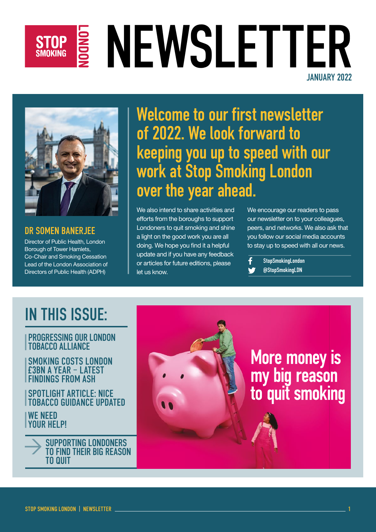## STOP S NEWSLETTER JANUARY 2022



DR SOMEN BANERJEE Director of Public Health, London Borough of Tower Hamlets, Co-Chair and Smoking Cessation Lead of the London Association of

Directors of Public Health (ADPH)

Welcome to our first newsletter of 2022. We look forward to keeping you up to speed with our work at Stop Smoking London over the year ahead.

We also intend to share activities and efforts from the boroughs to support Londoners to quit smoking and shine a light on the good work you are all doing. We hope you find it a helpful update and if you have any feedback or articles for future editions, please let us know.

We encourage our readers to pass our newsletter on to your colleagues, peers, and networks. We also ask that you follow our social media accounts to stay up to speed with all our news.

**StopSmokingLondon** @StopSmokingLDN

## IN THIS ISSUE:

#### PROGRESSING OUR LONDON TOBACCO ALLIANCE

SMOKING COSTS LONDON £3BN A YEAR – LATEST FINDINGS FROM ASH

SPOTLIGHT ARTICLE: NICE TOBACCO GUIDANCE UPDATED

WE NEED YOUR HELP!



# More money is my big reason<br>to quit smoking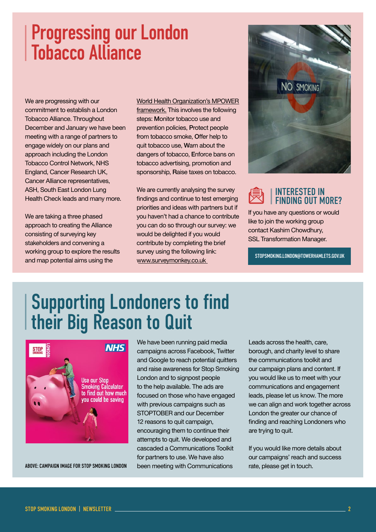### Progressing our London Tobacco Alliance

We are progressing with our commitment to establish a London Tobacco Alliance. Throughout December and January we have been meeting with a range of partners to engage widely on our plans and approach including the London Tobacco Control Network, NHS England, Cancer Research UK, Cancer Alliance representatives, ASH, South East London Lung Health Check leads and many more.

We are taking a three phased approach to creating the Alliance consisting of surveying key stakeholders and convening a working group to explore the results and map potential aims using the

World Health Organization's [MPOWER](https://www.who.int/initiatives/mpower)  [framework](https://www.who.int/initiatives/mpower). This involves the following steps: Monitor tobacco use and prevention policies, Protect people from tobacco smoke, Offer help to quit tobacco use, Warn about the dangers of tobacco, Enforce bans on tobacco advertising, promotion and sponsorship, Raise taxes on tobacco.

We are currently analysing the survey findings and continue to test emerging priorities and ideas with partners but if you haven't had a chance to contribute you can do so through our survey: we would be delighted if you would contribute by completing the brief survey using the following link: [www.surveymonkey.co.uk](https://www.surveymonkey.co.uk/r/XHPR7YN)





If you have any questions or would like to join the working group contact Kashim Chowdhury, SSL Transformation Manager.

[STOPSMOKING.LONDON@TOWERHAMLETS.GOV.UK](mailto:stopsmoking.london@towerhamlets.gov.uk)

## Supporting Londoners to find their Big Reason to Quit



ABOVE: CAMPAIGN IMAGE FOR STOP SMOKING LONDON been meeting with Communications rate, please get in touch.

We have been running paid media campaigns across Facebook, Twitter and Google to reach potential quitters and raise awareness for Stop Smoking London and to signpost people to the help available. The ads are focused on those who have engaged with previous campaigns such as STOPTOBER and our December 12 reasons to quit campaign, encouraging them to continue their attempts to quit. We developed and cascaded a Communications Toolkit for partners to use. We have also

Leads across the health, care, borough, and charity level to share the communications toolkit and our campaign plans and content. If you would like us to meet with your communications and engagement leads, please let us know. The more we can align and work together across London the greater our chance of finding and reaching Londoners who are trying to quit.

If you would like more details about our campaigns' reach and success